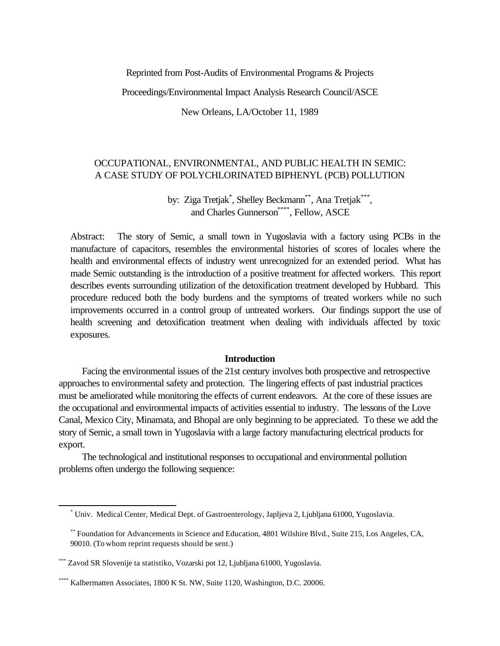### Reprinted from Post-Audits of Environmental Programs & Projects

#### Proceedings/Environmental Impact Analysis Research Council/ASCE

New Orleans, LA/October 11, 1989

# OCCUPATIONAL, ENVIRONMENTAL, AND PUBLIC HEALTH IN SEMIC: A CASE STUDY OF POLYCHLORINATED BIPHENYL (PCB) POLLUTION

by: Ziga Tretjak\*, Shelley Beckmann\*\*, Ana Tretjak\*\*\*, and Charles Gunnerson\*\*\*\*, Fellow, ASCE

Abstract: The story of Semic, a small town in Yugoslavia with a factory using PCBs in the manufacture of capacitors, resembles the environmental histories of scores of locales where the health and environmental effects of industry went unrecognized for an extended period. What has made Semic outstanding is the introduction of a positive treatment for affected workers. This report describes events surrounding utilization of the detoxification treatment developed by Hubbard. This procedure reduced both the body burdens and the symptoms of treated workers while no such improvements occurred in a control group of untreated workers. Our findings support the use of health screening and detoxification treatment when dealing with individuals affected by toxic exposures.

### **Introduction**

Facing the environmental issues of the 21st century involves both prospective and retrospective approaches to environmental safety and protection. The lingering effects of past industrial practices must be ameliorated while monitoring the effects of current endeavors. At the core of these issues are the occupational and environmental impacts of activities essential to industry. The lessons of the Love Canal, Mexico City, Minamata, and Bhopal are only beginning to be appreciated. To these we add the story of Semic, a small town in Yugoslavia with a large factory manufacturing electrical products for export.

The technological and institutional responses to occupational and environmental pollution problems often undergo the following sequence:

l

<sup>\*</sup> Univ. Medical Center, Medical Dept. of Gastroenterology, Japljeva 2, Ljubljana 61000, Yugoslavia.

<sup>\*\*</sup> Foundation for Advancements in Science and Education, 4801 Wilshire Blvd., Suite 215, Los Angeles, CA, 90010. (To whom reprint requests should be sent.)

<sup>\*\*\*</sup> Zavod SR Slovenije ta statistiko, Vozarski pot 12, Ljubljana 61000, Yugoslavia.

<sup>\*\*\*\*</sup> Kalbermatten Associates, 1800 K St. NW, Suite 1120, Washington, D.C. 20006.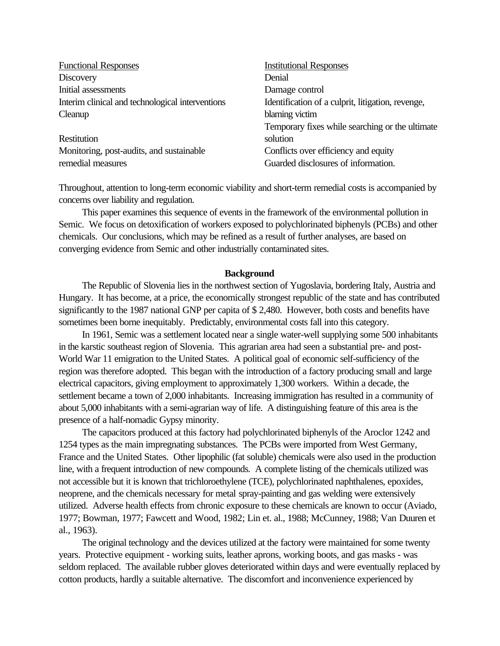| <b>Functional Responses</b>                      | <b>Institutional Responses</b>                    |
|--------------------------------------------------|---------------------------------------------------|
| <b>Discovery</b>                                 | Denial                                            |
| Initial assessments                              | Damage control                                    |
| Interim clinical and technological interventions | Identification of a culprit, litigation, revenge, |
| Cleanup                                          | blaming victim                                    |
|                                                  | Temporary fixes while searching or the ultimate   |
| Restitution                                      | solution                                          |
| Monitoring, post-audits, and sustainable         | Conflicts over efficiency and equity              |
| remedial measures                                | Guarded disclosures of information.               |

Throughout, attention to long-term economic viability and short-term remedial costs is accompanied by concerns over liability and regulation.

This paper examines this sequence of events in the framework of the environmental pollution in Semic. We focus on detoxification of workers exposed to polychlorinated biphenyls (PCBs) and other chemicals. Our conclusions, which may be refined as a result of further analyses, are based on converging evidence from Semic and other industrially contaminated sites.

#### **Background**

The Republic of Slovenia lies in the northwest section of Yugoslavia, bordering Italy, Austria and Hungary. It has become, at a price, the economically strongest republic of the state and has contributed significantly to the 1987 national GNP per capita of \$ 2,480. However, both costs and benefits have sometimes been borne inequitably. Predictably, environmental costs fall into this category.

In 1961, Semic was a settlement located near a single water-well supplying some 500 inhabitants in the karstic southeast region of Slovenia. This agrarian area had seen a substantial pre- and post-World War 11 emigration to the United States. A political goal of economic self-sufficiency of the region was therefore adopted. This began with the introduction of a factory producing small and large electrical capacitors, giving employment to approximately 1,300 workers. Within a decade, the settlement became a town of 2,000 inhabitants. Increasing immigration has resulted in a community of about 5,000 inhabitants with a semi-agrarian way of life. A distinguishing feature of this area is the presence of a half-nomadic Gypsy minority.

The capacitors produced at this factory had polychlorinated biphenyls of the Aroclor 1242 and 1254 types as the main impregnating substances. The PCBs were imported from West Germany, France and the United States. Other lipophilic (fat soluble) chemicals were also used in the production line, with a frequent introduction of new compounds. A complete listing of the chemicals utilized was not accessible but it is known that trichloroethylene (TCE), polychlorinated naphthalenes, epoxides, neoprene, and the chemicals necessary for metal spray-painting and gas welding were extensively utilized. Adverse health effects from chronic exposure to these chemicals are known to occur (Aviado, 1977; Bowman, 1977; Fawcett and Wood, 1982; Lin et. al., 1988; McCunney, 1988; Van Duuren et al., 1963).

The original technology and the devices utilized at the factory were maintained for some twenty years. Protective equipment - working suits, leather aprons, working boots, and gas masks - was seldom replaced. The available rubber gloves deteriorated within days and were eventually replaced by cotton products, hardly a suitable alternative. The discomfort and inconvenience experienced by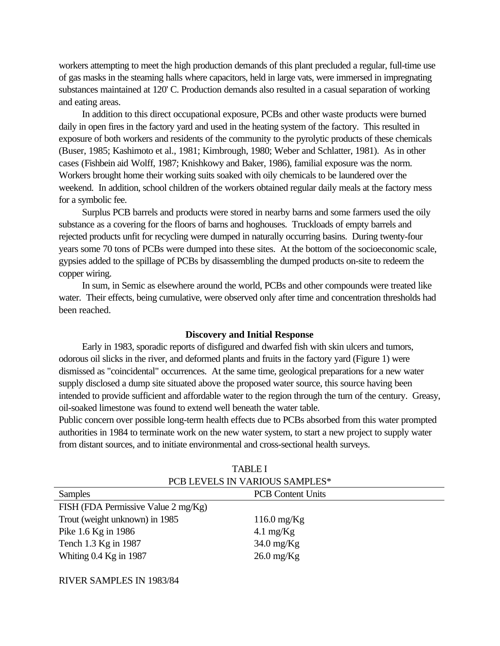workers attempting to meet the high production demands of this plant precluded a regular, full-time use of gas masks in the steaming halls where capacitors, held in large vats, were immersed in impregnating substances maintained at 120' C. Production demands also resulted in a casual separation of working and eating areas.

In addition to this direct occupational exposure, PCBs and other waste products were burned daily in open fires in the factory yard and used in the heating system of the factory. This resulted in exposure of both workers and residents of the community to the pyrolytic products of these chemicals (Buser, 1985; Kashimoto et al., 1981; Kimbrough, 1980; Weber and Schlatter, 1981). As in other cases (Fishbein aid Wolff, 1987; Knishkowy and Baker, 1986), familial exposure was the norm. Workers brought home their working suits soaked with oily chemicals to be laundered over the weekend. In addition, school children of the workers obtained regular daily meals at the factory mess for a symbolic fee.

Surplus PCB barrels and products were stored in nearby barns and some farmers used the oily substance as a covering for the floors of barns and hoghouses. Truckloads of empty barrels and rejected products unfit for recycling were dumped in naturally occurring basins. During twenty-four years some 70 tons of PCBs were dumped into these sites. At the bottom of the socioeconomic scale, gypsies added to the spillage of PCBs by disassembling the dumped products on-site to redeem the copper wiring.

In sum, in Semic as elsewhere around the world, PCBs and other compounds were treated like water. Their effects, being cumulative, were observed only after time and concentration thresholds had been reached.

#### **Discovery and Initial Response**

Early in 1983, sporadic reports of disfigured and dwarfed fish with skin ulcers and tumors, odorous oil slicks in the river, and deformed plants and fruits in the factory yard (Figure 1) were dismissed as "coincidental" occurrences. At the same time, geological preparations for a new water supply disclosed a dump site situated above the proposed water source, this source having been intended to provide sufficient and affordable water to the region through the turn of the century. Greasy, oil-soaked limestone was found to extend well beneath the water table.

Public concern over possible long-term health effects due to PCBs absorbed from this water prompted authorities in 1984 to terminate work on the new water system, to start a new project to supply water from distant sources, and to initiate environmental and cross-sectional health surveys.

| PCB LEVELS IN VARIOUS SAMPLES*      |                          |  |
|-------------------------------------|--------------------------|--|
| <b>Samples</b>                      | <b>PCB</b> Content Units |  |
| FISH (FDA Permissive Value 2 mg/Kg) |                          |  |
| Trout (weight unknown) in 1985      | $116.0 \text{ mg/Kg}$    |  |
| Pike 1.6 Kg in 1986                 | 4.1 $mg/Kg$              |  |
| Tench 1.3 Kg in 1987                | $34.0 \text{ mg/Kg}$     |  |
| Whiting $0.4$ Kg in 1987            | $26.0 \text{ mg/Kg}$     |  |
|                                     |                          |  |

TABLE I

RIVER SAMPLES IN 1983/84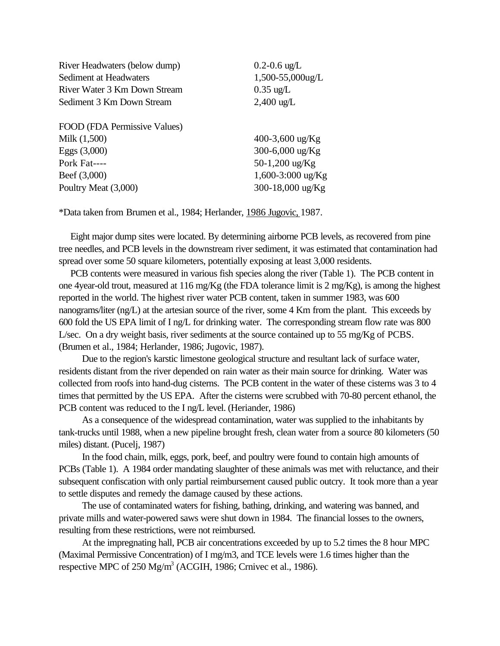| River Headwaters (below dump) | $0.2 - 0.6$ ug/L     |
|-------------------------------|----------------------|
| Sediment at Headwaters        | 1,500-55,000ug/L     |
| River Water 3 Km Down Stream  | $0.35 \text{ ug/L}$  |
| Sediment 3 Km Down Stream     | $2,400 \text{ ug/L}$ |
| FOOD (FDA Permissive Values)  |                      |
| Milk (1,500)                  | 400-3,600 ug/Kg      |
| Eggs $(3,000)$                | 300-6,000 $\mu$ g/Kg |
| Pork Fat----                  | 50-1,200 $\mu$ g/Kg  |
| Beef $(3,000)$                | $1,600-3:000$ ug/Kg  |
| Poultry Meat (3,000)          | 300-18,000 ug/Kg     |

\*Data taken from Brumen et al., 1984; Herlander, 1986 Jugovic, 1987.

Eight major dump sites were located. By determining airborne PCB levels, as recovered from pine tree needles, and PCB levels in the downstream river sediment, it was estimated that contamination had spread over some 50 square kilometers, potentially exposing at least 3,000 residents.

PCB contents were measured in various fish species along the river (Table 1). The PCB content in one 4year-old trout, measured at 116 mg/Kg (the FDA tolerance limit is 2 mg/Kg), is among the highest reported in the world. The highest river water PCB content, taken in summer 1983, was 600 nanograms/liter (ng/L) at the artesian source of the river, some 4 Km from the plant. This exceeds by 600 fold the US EPA limit of I ng/L for drinking water. The corresponding stream flow rate was 800 L/sec. On a dry weight basis, river sediments at the source contained up to 55 mg/Kg of PCBS. (Brumen et al., 1984; Herlander, 1986; Jugovic, 1987).

Due to the region's karstic limestone geological structure and resultant lack of surface water, residents distant from the river depended on rain water as their main source for drinking. Water was collected from roofs into hand-dug cisterns. The PCB content in the water of these cisterns was 3 to 4 times that permitted by the US EPA. After the cisterns were scrubbed with 70-80 percent ethanol, the PCB content was reduced to the I ng/L level. (Heriander, 1986)

As a consequence of the widespread contamination, water was supplied to the inhabitants by tank-trucks until 1988, when a new pipeline brought fresh, clean water from a source 80 kilometers (50 miles) distant. (Pucelj, 1987)

In the food chain, milk, eggs, pork, beef, and poultry were found to contain high amounts of PCBs (Table 1). A 1984 order mandating slaughter of these animals was met with reluctance, and their subsequent confiscation with only partial reimbursement caused public outcry. It took more than a year to settle disputes and remedy the damage caused by these actions.

The use of contaminated waters for fishing, bathing, drinking, and watering was banned, and private mills and water-powered saws were shut down in 1984. The financial losses to the owners, resulting from these restrictions, were not reimbursed.

At the impregnating hall, PCB air concentrations exceeded by up to 5.2 times the 8 hour MPC (Maximal Permissive Concentration) of I mg/m3, and TCE levels were 1.6 times higher than the respective MPC of  $250 \text{ Mg/m}^3$  (ACGIH, 1986; Crnivec et al., 1986).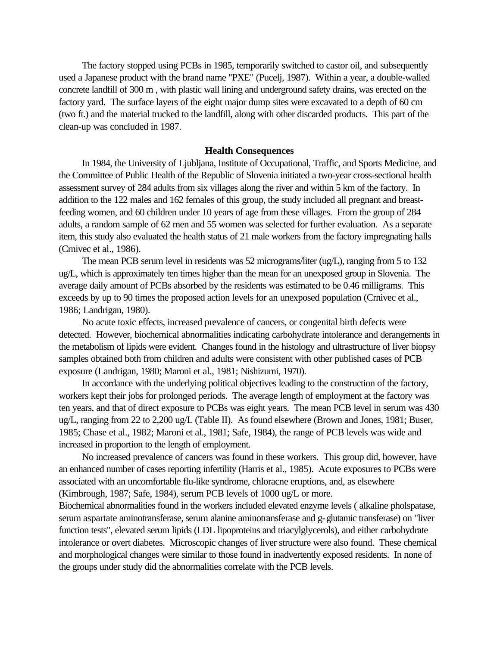The factory stopped using PCBs in 1985, temporarily switched to castor oil, and subsequently used a Japanese product with the brand name "PXE" (Pucelj, 1987). Within a year, a double-walled concrete landfill of 300 m , with plastic wall lining and underground safety drains, was erected on the factory yard. The surface layers of the eight major dump sites were excavated to a depth of 60 cm (two ft.) and the material trucked to the landfill, along with other discarded products. This part of the clean-up was concluded in 1987.

#### **Health Consequences**

In 1984, the University of Ljubljana, Institute of Occupational, Traffic, and Sports Medicine, and the Committee of Public Health of the Republic of Slovenia initiated a two-year cross-sectional health assessment survey of 284 adults from six villages along the river and within 5 km of the factory. In addition to the 122 males and 162 females of this group, the study included all pregnant and breastfeeding women, and 60 children under 10 years of age from these villages. From the group of 284 adults, a random sample of 62 men and 55 women was selected for further evaluation. As a separate item, this study also evaluated the health status of 21 male workers from the factory impregnating halls (Crnivec et al., 1986).

The mean PCB serum level in residents was 52 micrograms/liter (ug/L), ranging from 5 to 132 ug/L, which is approximately ten times higher than the mean for an unexposed group in Slovenia. The average daily amount of PCBs absorbed by the residents was estimated to be 0.46 milligrams. This exceeds by up to 90 times the proposed action levels for an unexposed population (Crnivec et al., 1986; Landrigan, 1980).

No acute toxic effects, increased prevalence of cancers, or congenital birth defects were detected. However, biochemical abnormalities indicating carbohydrate intolerance and derangements in the metabolism of lipids were evident. Changes found in the histology and ultrastructure of liver biopsy samples obtained both from children and adults were consistent with other published cases of PCB exposure (Landrigan, 1980; Maroni et al., 1981; Nishizumi, 1970).

In accordance with the underlying political objectives leading to the construction of the factory, workers kept their jobs for prolonged periods. The average length of employment at the factory was ten years, and that of direct exposure to PCBs was eight years. The mean PCB level in serum was 430 ug/L, ranging from 22 to 2,200 ug/L (Table II). As found elsewhere (Brown and Jones, 1981; Buser, 1985; Chase et al., 1982; Maroni et al., 1981; Safe, 1984), the range of PCB levels was wide and increased in proportion to the length of employment.

No increased prevalence of cancers was found in these workers. This group did, however, have an enhanced number of cases reporting infertility (Harris et al., 1985). Acute exposures to PCBs were associated with an uncomfortable flu-like syndrome, chloracne eruptions, and, as elsewhere (Kimbrough, 1987; Safe, 1984), serum PCB levels of 1000 ug/L or more.

Biochemical abnormalities found in the workers included elevated enzyme levels ( alkaline pholspatase, serum aspartate aminotransferase, serum alanine aminotransferase and g-glutamic transferase) on "liver function tests", elevated serum lipids (LDL lipoproteins and triacylglycerols), and either carbohydrate intolerance or overt diabetes. Microscopic changes of liver structure were also found. These chemical and morphological changes were similar to those found in inadvertently exposed residents. In none of the groups under study did the abnormalities correlate with the PCB levels.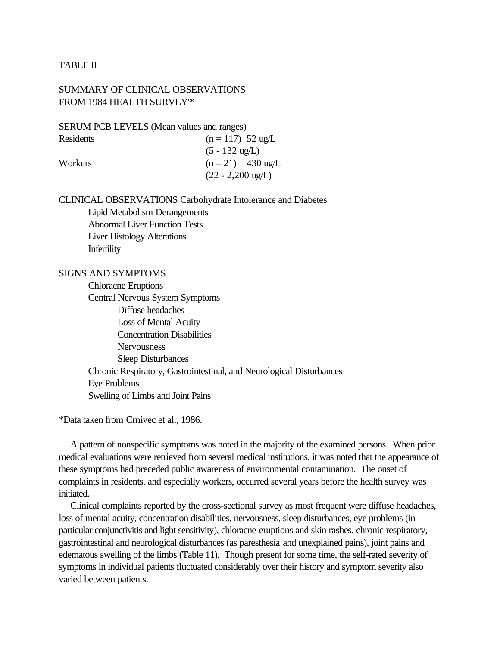TABLE II

# SUMMARY OF CLINICAL OBSERVATIONS FROM 1984 HEALTH SURVEY'\*

SERUM PCB LEVELS (Mean values and ranges) Residents  $(n = 117)$  52 ug/L (5 - 132 ug/L) Workers  $(n = 21)$  430 ug/L

 $(22 - 2,200 \text{ ug/L})$ 

CLINICAL OBSERVATIONS Carbohydrate Intolerance and Diabetes

Lipid Metabolism Derangements Abnormal Liver Function Tests Liver Histology Alterations Infertility

## SIGNS AND SYMPTOMS

Chloracne Eruptions Central Nervous System Symptoms Diffuse headaches Loss of Mental Acuity Concentration Disabilities **Nervousness** Sleep Disturbances Chronic Respiratory, Gastrointestinal, and Neurological Disturbances Eye Problems Swelling of Limbs and Joint Pains

\*Data taken from Crnivec et al., 1986.

A pattern of nonspecific symptoms was noted in the majority of the examined persons. When prior medical evaluations were retrieved from several medical institutions, it was noted that the appearance of these symptoms had preceded public awareness of environmental contamination. The onset of complaints in residents, and especially workers, occurred several years before the health survey was initiated.

Clinical complaints reported by the cross-sectional survey as most frequent were diffuse headaches, loss of mental acuity, concentration disabilities, nervousness, sleep disturbances, eye problems (in particular conjunctivitis and light sensitivity), chloracne eruptions and skin rashes, chronic respiratory, gastrointestinal and neurological disturbances (as paresthesia and unexplained pains), joint pains and edematous swelling of the limbs (Table 11). Though present for some time, the self-rated severity of symptoms in individual patients fluctuated considerably over their history and symptom severity also varied between patients.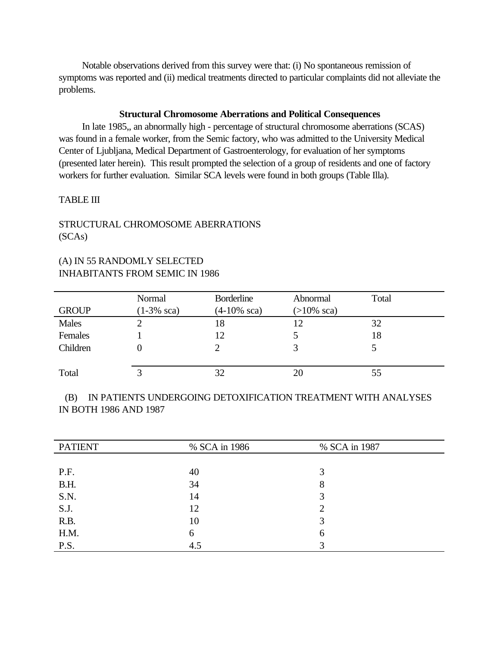Notable observations derived from this survey were that: (i) No spontaneous remission of symptoms was reported and (ii) medical treatments directed to particular complaints did not alleviate the problems.

### **Structural Chromosome Aberrations and Political Consequences**

In late 1985,, an abnormally high - percentage of structural chromosome aberrations (SCAS) was found in a female worker, from the Semic factory, who was admitted to the University Medical Center of Ljubljana, Medical Department of Gastroenterology, for evaluation of her symptoms (presented later herein). This result prompted the selection of a group of residents and one of factory workers for further evaluation. Similar SCA levels were found in both groups (Table Illa).

## TABLE III

# STRUCTURAL CHROMOSOME ABERRATIONS (SCAs)

# (A) IN 55 RANDOMLY SELECTED INHABITANTS FROM SEMIC IN 1986

|              | Normal                | <b>Borderline</b>      | Abnormal      | Total |
|--------------|-----------------------|------------------------|---------------|-------|
| <b>GROUP</b> | $(1-3\% \text{ sca})$ | $(4-10\% \text{ sca})$ | $(>10\%$ sca) |       |
| Males        |                       | 18                     | 12            | 32    |
| Females      |                       | 12                     |               | 18    |
| Children     |                       |                        |               |       |
|              |                       |                        |               |       |
| Total        |                       | 32                     | 20            | 55    |

# (B) IN PATIENTS UNDERGOING DETOXIFICATION TREATMENT WITH ANALYSES IN BOTH 1986 AND 1987

| <b>PATIENT</b> | % SCA in 1986 | % SCA in 1987 |
|----------------|---------------|---------------|
|                |               |               |
| P.F.           | 40            |               |
| B.H.           | 34            | 8             |
| S.N.           | 14            |               |
| S.J.           | 12            |               |
| R.B.           | 10            |               |
| H.M.           | 6             | 6             |
| P.S.           | 4.5           |               |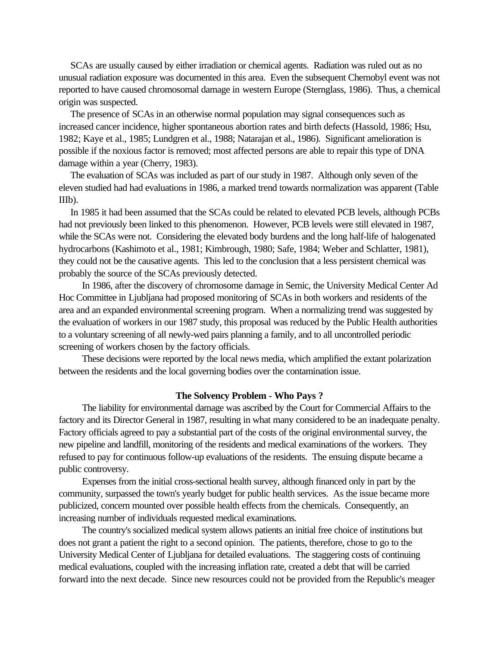SCAs are usually caused by either irradiation or chemical agents. Radiation was ruled out as no unusual radiation exposure was documented in this area. Even the subsequent Chernobyl event was not reported to have caused chromosomal damage in western Europe (Sternglass, 1986). Thus, a chemical origin was suspected.

The presence of SCAs in an otherwise normal population may signal consequences such as increased cancer incidence, higher spontaneous abortion rates and birth defects (Hassold, 1986; Hsu, 1982; Kaye et al., 1985; Lundgren et al., 1988; Natarajan et al., 1986). Significant amelioration is possible if the noxious factor is removed; most affected persons are able to repair this type of DNA damage within a year (Cherry, 1983).

The evaluation of SCAs was included as part of our study in 1987. Although only seven of the eleven studied had had evaluations in 1986, a marked trend towards normalization was apparent (Table IIIb).

In 1985 it had been assumed that the SCAs could be related to elevated PCB levels, although PCBs had not previously been linked to this phenomenon. However, PCB levels were still elevated in 1987, while the SCAs were not. Considering the elevated body burdens and the long half-life of halogenated hydrocarbons (Kashimoto et al., 1981; Kimbrough, 1980; Safe, 1984; Weber and Schlatter, 1981), they could not be the causative agents. This led to the conclusion that a less persistent chemical was probably the source of the SCAs previously detected.

In 1986, after the discovery of chromosome damage in Semic, the University Medical Center Ad Hoc Committee in Ljubljana had proposed monitoring of SCAs in both workers and residents of the area and an expanded environmental screening program. When a normalizing trend was suggested by the evaluation of workers in our 1987 study, this proposal was reduced by the Public Health authorities to a voluntary screening of all newly-wed pairs planning a family, and to all uncontrolled periodic screening of workers chosen by the factory officials.

These decisions were reported by the local news media, which amplified the extant polarization between the residents and the local governing bodies over the contamination issue.

#### **The Solvency Problem - Who Pays ?**

The liability for environmental damage was ascribed by the Court for Commercial Affairs to the factory and its Director General in 1987, resulting in what many considered to be an inadequate penalty. Factory officials agreed to pay a substantial part of the costs of the original environmental survey, the new pipeline and landfill, monitoring of the residents and medical examinations of the workers. They refused to pay for continuous follow-up evaluations of the residents. The ensuing dispute became a public controversy.

Expenses from the initial cross-sectional health survey, although financed only in part by the community, surpassed the town's yearly budget for public health services. As the issue became more publicized, concern mounted over possible health effects from the chemicals. Consequently, an increasing number of individuals requested medical examinations.

The country's socialized medical system allows patients an initial free choice of institutions but does not grant a patient the right to a second opinion. The patients, therefore, chose to go to the University Medical Center of Ljubljana for detailed evaluations. The staggering costs of continuing medical evaluations, coupled with the increasing inflation rate, created a debt that will be carried forward into the next decade. Since new resources could not be provided from the Republic's meager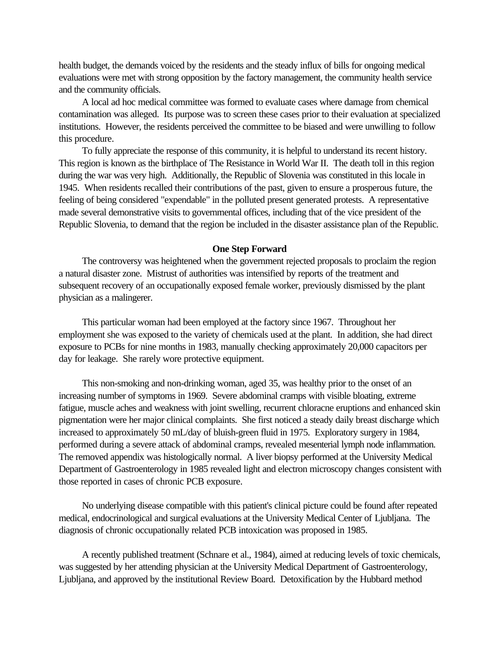health budget, the demands voiced by the residents and the steady influx of bills for ongoing medical evaluations were met with strong opposition by the factory management, the community health service and the community officials.

A local ad hoc medical committee was formed to evaluate cases where damage from chemical contamination was alleged. Its purpose was to screen these cases prior to their evaluation at specialized institutions. However, the residents perceived the committee to be biased and were unwilling to follow this procedure.

To fully appreciate the response of this community, it is helpful to understand its recent history. This region is known as the birthplace of The Resistance in World War II. The death toll in this region during the war was very high. Additionally, the Republic of Slovenia was constituted in this locale in 1945. When residents recalled their contributions of the past, given to ensure a prosperous future, the feeling of being considered "expendable" in the polluted present generated protests. A representative made several demonstrative visits to governmental offices, including that of the vice president of the Republic Slovenia, to demand that the region be included in the disaster assistance plan of the Republic.

#### **One Step Forward**

The controversy was heightened when the government rejected proposals to proclaim the region a natural disaster zone. Mistrust of authorities was intensified by reports of the treatment and subsequent recovery of an occupationally exposed female worker, previously dismissed by the plant physician as a malingerer.

This particular woman had been employed at the factory since 1967. Throughout her employment she was exposed to the variety of chemicals used at the plant. In addition, she had direct exposure to PCBs for nine months in 1983, manually checking approximately 20,000 capacitors per day for leakage. She rarely wore protective equipment.

This non-smoking and non-drinking woman, aged 35, was healthy prior to the onset of an increasing number of symptoms in 1969. Severe abdominal cramps with visible bloating, extreme fatigue, muscle aches and weakness with joint swelling, recurrent chloracne eruptions and enhanced skin pigmentation were her major clinical complaints. She first noticed a steady daily breast discharge which increased to approximately 50 mL/day of bluish-green fluid in 1975. Exploratory surgery in 1984, performed during a severe attack of abdominal cramps, revealed mesenterial lymph node inflammation. The removed appendix was histologically normal. A liver biopsy performed at the University Medical Department of Gastroenterology in 1985 revealed light and electron microscopy changes consistent with those reported in cases of chronic PCB exposure.

No underlying disease compatible with this patient's clinical picture could be found after repeated medical, endocrinological and surgical evaluations at the University Medical Center of Ljubljana. The diagnosis of chronic occupationally related PCB intoxication was proposed in 1985.

A recently published treatment (Schnare et al., 1984), aimed at reducing levels of toxic chemicals, was suggested by her attending physician at the University Medical Department of Gastroenterology, Ljubljana, and approved by the institutional Review Board. Detoxification by the Hubbard method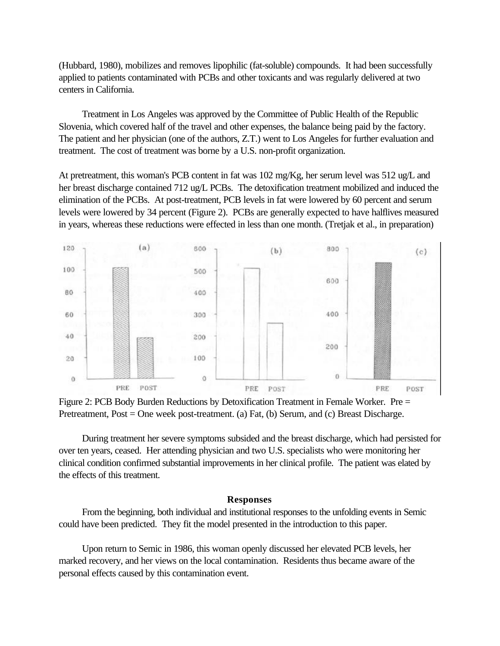(Hubbard, 1980), mobilizes and removes lipophilic (fat-soluble) compounds. It had been successfully applied to patients contaminated with PCBs and other toxicants and was regularly delivered at two centers in California.

Treatment in Los Angeles was approved by the Committee of Public Health of the Republic Slovenia, which covered half of the travel and other expenses, the balance being paid by the factory. The patient and her physician (one of the authors, Z.T.) went to Los Angeles for further evaluation and treatment. The cost of treatment was borne by a U.S. non-profit organization.

At pretreatment, this woman's PCB content in fat was 102 mg/Kg, her serum level was 512 ug/L and her breast discharge contained 712 ug/L PCBs. The detoxification treatment mobilized and induced the elimination of the PCBs. At post-treatment, PCB levels in fat were lowered by 60 percent and serum levels were lowered by 34 percent (Figure 2). PCBs are generally expected to have halflives measured in years, whereas these reductions were effected in less than one month. (Tretjak et al., in preparation)





During treatment her severe symptoms subsided and the breast discharge, which had persisted for over ten years, ceased. Her attending physician and two U.S. specialists who were monitoring her clinical condition confirmed substantial improvements in her clinical profile. The patient was elated by the effects of this treatment.

### **Responses**

From the beginning, both individual and institutional responses to the unfolding events in Semic could have been predicted. They fit the model presented in the introduction to this paper.

Upon return to Semic in 1986, this woman openly discussed her elevated PCB levels, her marked recovery, and her views on the local contamination. Residents thus became aware of the personal effects caused by this contamination event.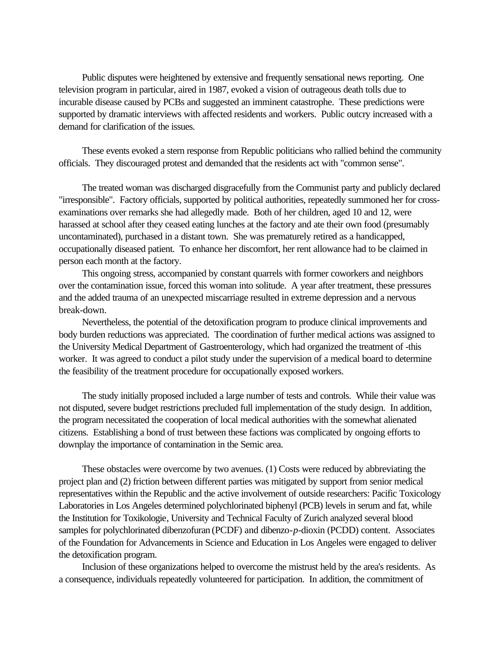Public disputes were heightened by extensive and frequently sensational news reporting. One television program in particular, aired in 1987, evoked a vision of outrageous death tolls due to incurable disease caused by PCBs and suggested an imminent catastrophe. These predictions were supported by dramatic interviews with affected residents and workers. Public outcry increased with a demand for clarification of the issues.

These events evoked a stern response from Republic politicians who rallied behind the community officials. They discouraged protest and demanded that the residents act with "common sense".

The treated woman was discharged disgracefully from the Communist party and publicly declared "irresponsible". Factory officials, supported by political authorities, repeatedly summoned her for crossexaminations over remarks she had allegedly made. Both of her children, aged 10 and 12, were harassed at school after they ceased eating lunches at the factory and ate their own food (presumably uncontaminated), purchased in a distant town. She was prematurely retired as a handicapped, occupationally diseased patient. To enhance her discomfort, her rent allowance had to be claimed in person each month at the factory.

This ongoing stress, accompanied by constant quarrels with former coworkers and neighbors over the contamination issue, forced this woman into solitude. A year after treatment, these pressures and the added trauma of an unexpected miscarriage resulted in extreme depression and a nervous break-down.

Nevertheless, the potential of the detoxification program to produce clinical improvements and body burden reductions was appreciated. The coordination of further medical actions was assigned to the University Medical Department of Gastroenterology, which had organized the treatment of -this worker. It was agreed to conduct a pilot study under the supervision of a medical board to determine the feasibility of the treatment procedure for occupationally exposed workers.

The study initially proposed included a large number of tests and controls. While their value was not disputed, severe budget restrictions precluded full implementation of the study design. In addition, the program necessitated the cooperation of local medical authorities with the somewhat alienated citizens. Establishing a bond of trust between these factions was complicated by ongoing efforts to downplay the importance of contamination in the Semic area.

These obstacles were overcome by two avenues. (1) Costs were reduced by abbreviating the project plan and (2) friction between different parties was mitigated by support from senior medical representatives within the Republic and the active involvement of outside researchers: Pacific Toxicology Laboratories in Los Angeles determined polychlorinated biphenyl (PCB) levels in serum and fat, while the Institution for Toxikologie, University and Technical Faculty of Zurich analyzed several blood samples for polychlorinated dibenzofuran (PCDF) and dibenzo-*p*-dioxin (PCDD) content. Associates of the Foundation for Advancements in Science and Education in Los Angeles were engaged to deliver the detoxification program.

Inclusion of these organizations helped to overcome the mistrust held by the area's residents. As a consequence, individuals repeatedly volunteered for participation. In addition, the commitment of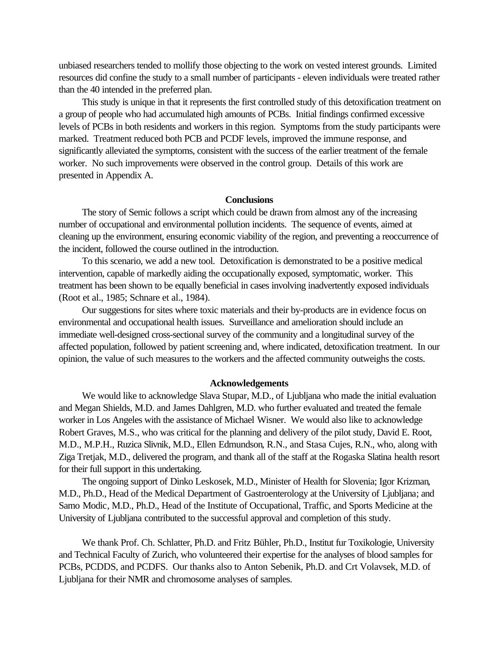unbiased researchers tended to mollify those objecting to the work on vested interest grounds. Limited resources did confine the study to a small number of participants - eleven individuals were treated rather than the 40 intended in the preferred plan.

This study is unique in that it represents the first controlled study of this detoxification treatment on a group of people who had accumulated high amounts of PCBs. Initial findings confirmed excessive levels of PCBs in both residents and workers in this region. Symptoms from the study participants were marked. Treatment reduced both PCB and PCDF levels, improved the immune response, and significantly alleviated the symptoms, consistent with the success of the earlier treatment of the female worker. No such improvements were observed in the control group. Details of this work are presented in Appendix A.

#### **Conclusions**

The story of Semic follows a script which could be drawn from almost any of the increasing number of occupational and environmental pollution incidents. The sequence of events, aimed at cleaning up the environment, ensuring economic viability of the region, and preventing a reoccurrence of the incident, followed the course outlined in the introduction.

To this scenario, we add a new tool. Detoxification is demonstrated to be a positive medical intervention, capable of markedly aiding the occupationally exposed, symptomatic, worker. This treatment has been shown to be equally beneficial in cases involving inadvertently exposed individuals (Root et al., 1985; Schnare et al., 1984).

Our suggestions for sites where toxic materials and their by-products are in evidence focus on environmental and occupational health issues. Surveillance and amelioration should include an immediate well-designed cross-sectional survey of the community and a longitudinal survey of the affected population, followed by patient screening and, where indicated, detoxification treatment. In our opinion, the value of such measures to the workers and the affected community outweighs the costs.

#### **Acknowledgements**

We would like to acknowledge Slava Stupar, M.D., of Ljubljana who made the initial evaluation and Megan Shields, M.D. and James Dahlgren, M.D. who further evaluated and treated the female worker in Los Angeles with the assistance of Michael Wisner. We would also like to acknowledge Robert Graves, M.S., who was critical for the planning and delivery of the pilot study, David E. Root, M.D., M.P.H., Ruzica Slivnik, M.D., Ellen Edmundson, R.N., and Stasa Cujes, R.N., who, along with Ziga Tretjak, M.D., delivered the program, and thank all of the staff at the Rogaska Slatina health resort for their full support in this undertaking.

The ongoing support of Dinko Leskosek, M.D., Minister of Health for Slovenia; Igor Krizman, M.D., Ph.D., Head of the Medical Department of Gastroenterology at the University of Ljubljana; and Samo Modic, M.D., Ph.D., Head of the Institute of Occupational, Traffic, and Sports Medicine at the University of Ljubljana contributed to the successful approval and completion of this study.

We thank Prof. Ch. Schlatter, Ph.D. and Fritz Bühler, Ph.D., Institut fur Toxikologie, University and Technical Faculty of Zurich, who volunteered their expertise for the analyses of blood samples for PCBs, PCDDS, and PCDFS. Our thanks also to Anton Sebenik, Ph.D. and Crt Volavsek, M.D. of Ljubljana for their NMR and chromosome analyses of samples.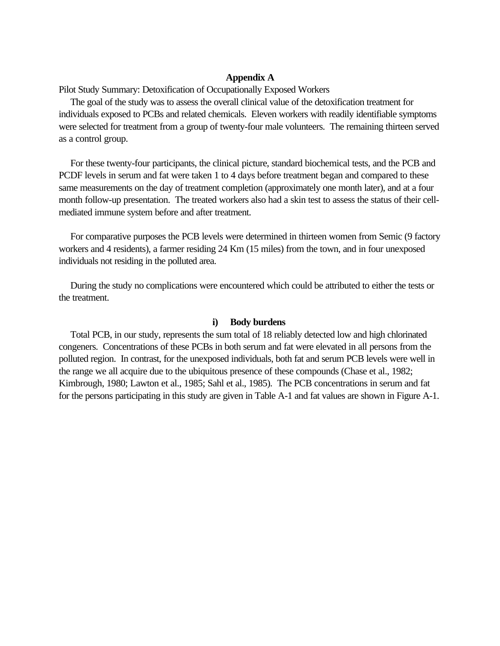## **Appendix A**

Pilot Study Summary: Detoxification of Occupationally Exposed Workers

The goal of the study was to assess the overall clinical value of the detoxification treatment for individuals exposed to PCBs and related chemicals. Eleven workers with readily identifiable symptoms were selected for treatment from a group of twenty-four male volunteers. The remaining thirteen served as a control group.

For these twenty-four participants, the clinical picture, standard biochemical tests, and the PCB and PCDF levels in serum and fat were taken 1 to 4 days before treatment began and compared to these same measurements on the day of treatment completion (approximately one month later), and at a four month follow-up presentation. The treated workers also had a skin test to assess the status of their cellmediated immune system before and after treatment.

For comparative purposes the PCB levels were determined in thirteen women from Semic (9 factory workers and 4 residents), a farmer residing 24 Km (15 miles) from the town, and in four unexposed individuals not residing in the polluted area.

During the study no complications were encountered which could be attributed to either the tests or the treatment.

## **i) Body burdens**

Total PCB, in our study, represents the sum total of 18 reliably detected low and high chlorinated congeners. Concentrations of these PCBs in both serum and fat were elevated in all persons from the polluted region. In contrast, for the unexposed individuals, both fat and serum PCB levels were well in the range we all acquire due to the ubiquitous presence of these compounds (Chase et al., 1982; Kimbrough, 1980; Lawton et al., 1985; Sahl et al., 1985). The PCB concentrations in serum and fat for the persons participating in this study are given in Table A-1 and fat values are shown in Figure A-1.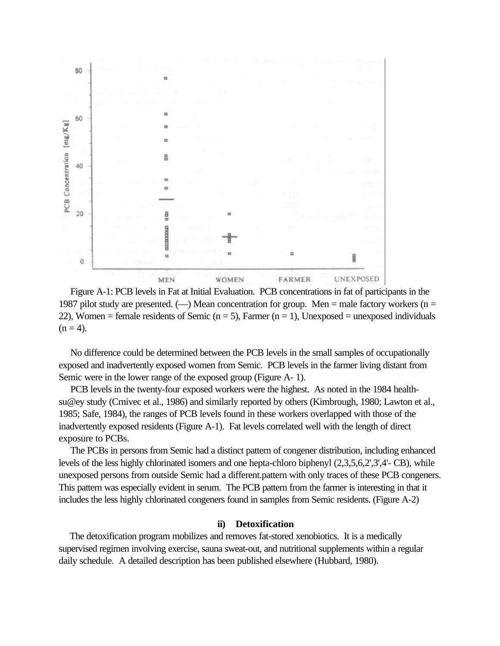

Figure A-1: PCB levels in Fat at Initial Evaluation. PCB concentrations in fat of participants in the 1987 pilot study are presented.  $(-)$  Mean concentration for group. Men = male factory workers (n = 22), Women = female residents of Semic ( $n = 5$ ), Farmer ( $n = 1$ ), Unexposed = unexposed individuals  $(n = 4)$ .

No difference could be determined between the PCB levels in the small samples of occupationally exposed and inadvertently exposed women from Semic. PCB levels in the farmer living distant from Semic were in the lower range of the exposed group (Figure A- 1).

PCB levels in the twenty-four exposed workers were the highest. As noted in the 1984 healthsu@ey study (Crnivec et al., 1986) and similarly reported by others (Kimbrough, 1980; Lawton et al., 1985; Safe, 1984), the ranges of PCB levels found in these workers overlapped with those of the inadvertently exposed residents (Figure A-1). Fat levels correlated well with the length of direct exposure to PCBs.

The PCBs in persons from Semic had a distinct pattern of congener distribution, including enhanced levels of the less highly chlorinated isomers and one hepta-chloro biphenyl (2,3,5,6,2',3',4'- CB), while unexposed persons from outside Semic had a different.pattern with only traces of these PCB congeners. This pattern was especially evident in serum. The PCB pattern from the farmer is interesting in that it includes the less highly chlorinated congeners found in samples from Semic residents. (Figure A-2)

## **ii) Detoxification**

The detoxification program mobilizes and removes fat-stored xenobiotics. It is a medically supervised regimen involving exercise, sauna sweat-out, and nutritional supplements within a regular daily schedule. A detailed description has been published elsewhere (Hubbard, 1980).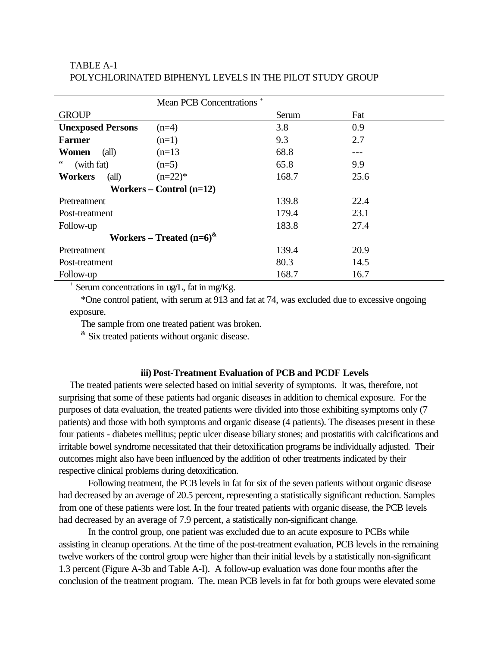|                                  | Mean PCB Concentrations <sup>+</sup> |       |      |
|----------------------------------|--------------------------------------|-------|------|
| <b>GROUP</b>                     |                                      | Serum | Fat  |
| <b>Unexposed Persons</b>         | $(n=4)$                              | 3.8   | 0.9  |
| <b>Farmer</b>                    | $(n=1)$                              | 9.3   | 2.7  |
| Women<br>$\text{(all)}$          | $(n=13)$                             | 68.8  |      |
| 66<br>(with fat)                 | $(n=5)$                              | 65.8  | 9.9  |
| $\text{(all)}$<br><b>Workers</b> | $(n=22)*$                            | 168.7 | 25.6 |
| Workers – Control $(n=12)$       |                                      |       |      |
| Pretreatment                     |                                      | 139.8 | 22.4 |
| Post-treatment                   |                                      | 179.4 | 23.1 |
| Follow-up                        |                                      | 183.8 | 27.4 |
| Workers – Treated $(n=6)^{k}$    |                                      |       |      |
| Pretreatment                     |                                      | 139.4 | 20.9 |
| Post-treatment                   |                                      | 80.3  | 14.5 |
| Follow-up                        |                                      | 168.7 | 16.7 |

# TABLE A-1 POLYCHLORINATED BIPHENYL LEVELS IN THE PILOT STUDY GROUP

+ Serum concentrations in ug/L, fat in mg/Kg.

\*One control patient, with serum at 913 and fat at 74, was excluded due to excessive ongoing exposure.

The sample from one treated patient was broken.

& Six treated patients without organic disease.

## **iii) Post-Treatment Evaluation of PCB and PCDF Levels**

The treated patients were selected based on initial severity of symptoms. It was, therefore, not surprising that some of these patients had organic diseases in addition to chemical exposure. For the purposes of data evaluation, the treated patients were divided into those exhibiting symptoms only (7 patients) and those with both symptoms and organic disease (4 patients). The diseases present in these four patients - diabetes mellitus; peptic ulcer disease biliary stones; and prostatitis with calcifications and irritable bowel syndrome necessitated that their detoxification programs be individually adjusted. Their outcomes might also have been influenced by the addition of other treatments indicated by their respective clinical problems during detoxification.

Following treatment, the PCB levels in fat for six of the seven patients without organic disease had decreased by an average of 20.5 percent, representing a statistically significant reduction. Samples from one of these patients were lost. In the four treated patients with organic disease, the PCB levels had decreased by an average of 7.9 percent, a statistically non-significant change.

In the control group, one patient was excluded due to an acute exposure to PCBs while assisting in cleanup operations. At the time of the post-treatment evaluation, PCB levels in the remaining twelve workers of the control group were higher than their initial levels by a statistically non-significant 1.3 percent (Figure A-3b and Table A-I). A follow-up evaluation was done four months after the conclusion of the treatment program. The. mean PCB levels in fat for both groups were elevated some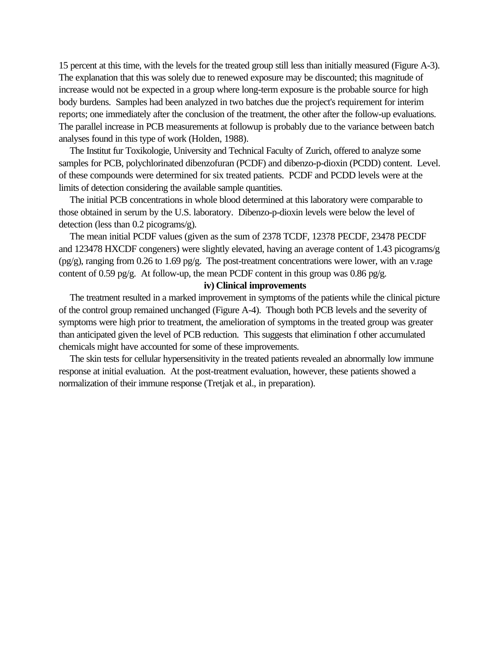15 percent at this time, with the levels for the treated group still less than initially measured (Figure A-3). The explanation that this was solely due to renewed exposure may be discounted; this magnitude of increase would not be expected in a group where long-term exposure is the probable source for high body burdens. Samples had been analyzed in two batches due the project's requirement for interim reports; one immediately after the conclusion of the treatment, the other after the follow-up evaluations. The parallel increase in PCB measurements at followup is probably due to the variance between batch analyses found in this type of work (Holden, 1988).

The Institut fur Toxikologie, University and Technical Faculty of Zurich, offered to analyze some samples for PCB, polychlorinated dibenzofuran (PCDF) and dibenzo-p-dioxin (PCDD) content. Level. of these compounds were determined for six treated patients. PCDF and PCDD levels were at the limits of detection considering the available sample quantities.

The initial PCB concentrations in whole blood determined at this laboratory were comparable to those obtained in serum by the U.S. laboratory. Dibenzo-p-dioxin levels were below the level of detection (less than 0.2 picograms/g).

The mean initial PCDF values (given as the sum of 2378 TCDF, 12378 PECDF, 23478 PECDF and 123478 HXCDF congeners) were slightly elevated, having an average content of 1.43 picograms/g (pg/g), ranging from 0.26 to 1.69 pg/g. The post-treatment concentrations were lower, with an v.rage content of 0.59 pg/g. At follow-up, the mean PCDF content in this group was 0.86 pg/g.

### **iv) Clinical improvements**

The treatment resulted in a marked improvement in symptoms of the patients while the clinical picture of the control group remained unchanged (Figure A-4). Though both PCB levels and the severity of symptoms were high prior to treatment, the amelioration of symptoms in the treated group was greater than anticipated given the level of PCB reduction. This suggests that elimination f other accumulated chemicals might have accounted for some of these improvements.

The skin tests for cellular hypersensitivity in the treated patients revealed an abnormally low immune response at initial evaluation. At the post-treatment evaluation, however, these patients showed a normalization of their immune response (Tretjak et al., in preparation).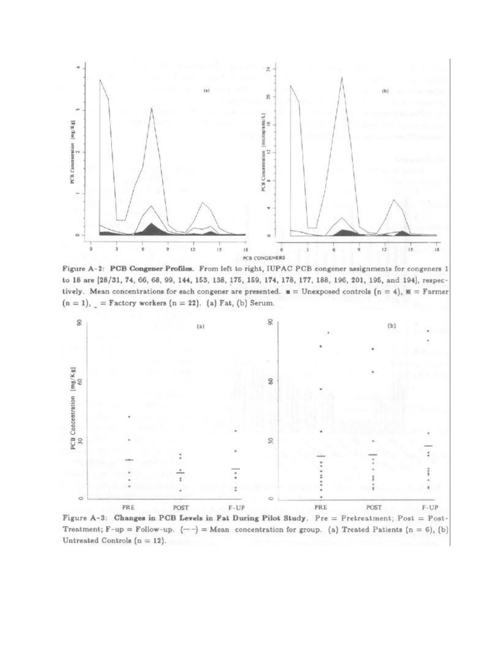

Figure A-2: PCB Congener Profiles. From left to right, IUPAC PCB congener assignments for congeners 1 to 18 are [28/31, 74, 66, 68, 99, 144, 153, 138, 175, 159, 174, 178, 177, 188, 196, 201, 195, and 194], respectively. Mean concentrations for each congener are presented.  $\mathbf{u} =$  Unexposed controls (n = 4),  $\mathbf{w} =$  Farmer  $(n = 1)$ , = Factory workers  $(n = 22)$ . (a) Fat, (b) Serum.



Figure A-3: Changes in PCB Levels in Fat During Pilot Study. Pre = Pretreatment; Post = Post-Treatment; F-up = Follow-up.  $(--)$  = Mean concentration for group. (a) Treated Patients (n = 6), (b) Untreated Controls ( $n = 12$ ).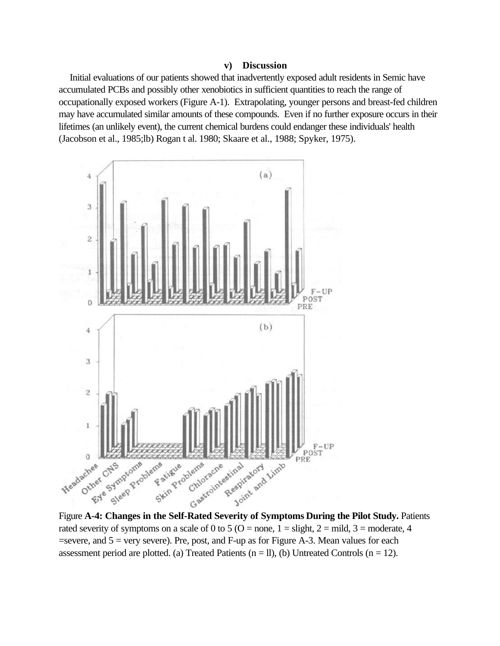### **v) Discussion**

Initial evaluations of our patients showed that inadvertently exposed adult residents in Semic have accumulated PCBs and possibly other xenobiotics in sufficient quantities to reach the range of occupationally exposed workers (Figure A-1). Extrapolating, younger persons and breast-fed children may have accumulated similar amounts of these compounds. Even if no further exposure occurs in their lifetimes (an unlikely event), the current chemical burdens could endanger these individuals' health (Jacobson et al., 1985;lb) Rogan t al. 1980; Skaare et al., 1988; Spyker, 1975).



rated severity of symptoms on a scale of 0 to 5 (O = none,  $1 =$  slight,  $2 =$  mild,  $3 =$  moderate, 4  $=$ severe, and  $5 =$  very severe). Pre, post, and F-up as for Figure A-3. Mean values for each assessment period are plotted. (a) Treated Patients ( $n = 11$ ), (b) Untreated Controls ( $n = 12$ ).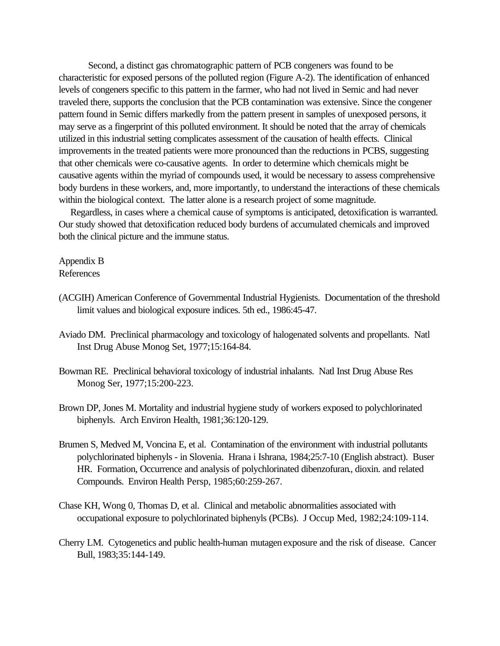Second, a distinct gas chromatographic pattern of PCB congeners was found to be characteristic for exposed persons of the polluted region (Figure A-2). The identification of enhanced levels of congeners specific to this pattern in the farmer, who had not lived in Semic and had never traveled there, supports the conclusion that the PCB contamination was extensive. Since the congener pattern found in Semic differs markedly from the pattern present in samples of unexposed persons, it may serve as a fingerprint of this polluted environment. It should be noted that the array of chemicals utilized in this industrial setting complicates assessment of the causation of health effects. Clinical improvements in the treated patients were more pronounced than the reductions in PCBS, suggesting that other chemicals were co-causative agents. In order to determine which chemicals might be causative agents within the myriad of compounds used, it would be necessary to assess comprehensive body burdens in these workers, and, more importantly, to understand the interactions of these chemicals within the biological context. The latter alone is a research project of some magnitude.

Regardless, in cases where a chemical cause of symptoms is anticipated, detoxification is warranted. Our study showed that detoxification reduced body burdens of accumulated chemicals and improved both the clinical picture and the immune status.

Appendix B References

- (ACGIH) American Conference of Governmental Industrial Hygienists. Documentation of the threshold limit values and biological exposure indices. 5th ed., 1986:45-47.
- Aviado DM. Preclinical pharmacology and toxicology of halogenated solvents and propellants. Natl Inst Drug Abuse Monog Set, 1977;15:164-84.
- Bowman RE. Preclinical behavioral toxicology of industrial inhalants. Natl Inst Drug Abuse Res Monog Ser, 1977;15:200-223.
- Brown DP, Jones M. Mortality and industrial hygiene study of workers exposed to polychlorinated biphenyls. Arch Environ Health, 1981;36:120-129.
- Brumen S, Medved M, Voncina E, et al. Contamination of the environment with industrial pollutants polychlorinated biphenyls - in Slovenia. Hrana i Ishrana, 1984;25:7-10 (English abstract). Buser HR. Formation, Occurrence and analysis of polychlorinated dibenzofuran., dioxin. and related Compounds. Environ Health Persp, 1985;60:259-267.
- Chase KH, Wong 0, Thomas D, et al. Clinical and metabolic abnormalities associated with occupational exposure to polychlorinated biphenyls (PCBs). J Occup Med, 1982;24:109-114.
- Cherry LM. Cytogenetics and public health-human mutagen exposure and the risk of disease. Cancer Bull, 1983;35:144-149.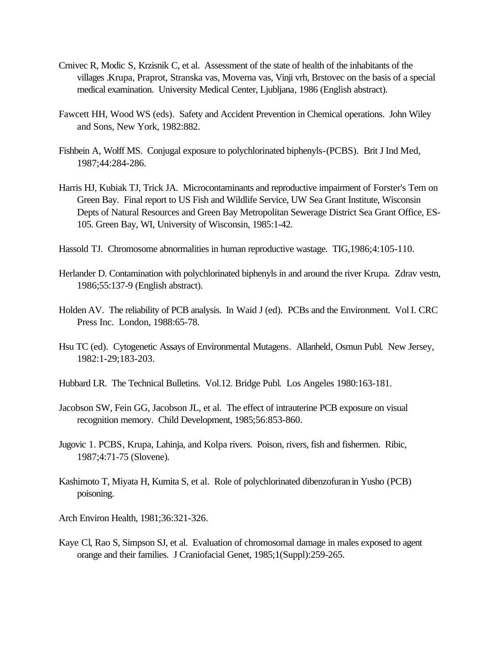- Crnivec R, Modic S, Krzisnik C, et al. Assessment of the state of health of the inhabitants of the villages .Krupa, Praprot, Stranska vas, Moverna vas, Vinji vrh, Brstovec on the basis of a special medical examination. University Medical Center, Ljubljana, 1986 (English abstract).
- Fawcett HH, Wood WS (eds). Safety and Accident Prevention in Chemical operations. John Wiley and Sons, New York, 1982:882.
- Fishbein A, Wolff MS. Conjugal exposure to polychlorinated biphenyls-(PCBS). Brit J Ind Med, 1987;44:284-286.
- Harris HJ, Kubiak TJ, Trick JA. Microcontaminants and reproductive impairment of Forster's Tern on Green Bay. Final report to US Fish and Wildlife Service, UW Sea Grant Institute, Wisconsin Depts of Natural Resources and Green Bay Metropolitan Sewerage District Sea Grant Office, ES-105. Green Bay, WI, University of Wisconsin, 1985:1-42.
- Hassold TJ. Chromosome abnormalities in human reproductive wastage. TIG,1986;4:105-110.
- Herlander D. Contamination with polychlorinated biphenyls in and around the river Krupa. Zdrav vestn, 1986;55:137-9 (English abstract).
- Holden AV. The reliability of PCB analysis. In Waid J (ed). PCBs and the Environment. Vol I. CRC Press Inc. London, 1988:65-78.
- Hsu TC (ed). Cytogenetic Assays of Environmental Mutagens. Allanheld, Osmun Publ. New Jersey, 1982:1-29;183-203.
- Hubbard LR. The Technical Bulletins. Vol.12. Bridge Publ. Los Angeles 1980:163-181.
- Jacobson SW, Fein GG, Jacobson JL, et al. The effect of intrauterine PCB exposure on visual recognition memory. Child Development, 1985;56:853-860.
- Jugovic 1. PCBS, Krupa, Lahinja, and Kolpa rivers. Poison, rivers, fish and fishermen. Ribic, 1987;4:71-75 (Slovene).
- Kashimoto T, Miyata H, Kumita S, et al. Role of polychlorinated dibenzofuran in Yusho (PCB) poisoning.
- Arch Environ Health, 1981;36:321-326.
- Kaye Cl, Rao S, Simpson SJ, et al. Evaluation of chromosomal damage in males exposed to agent orange and their families. J Craniofacial Genet, 1985;1(Suppl):259-265.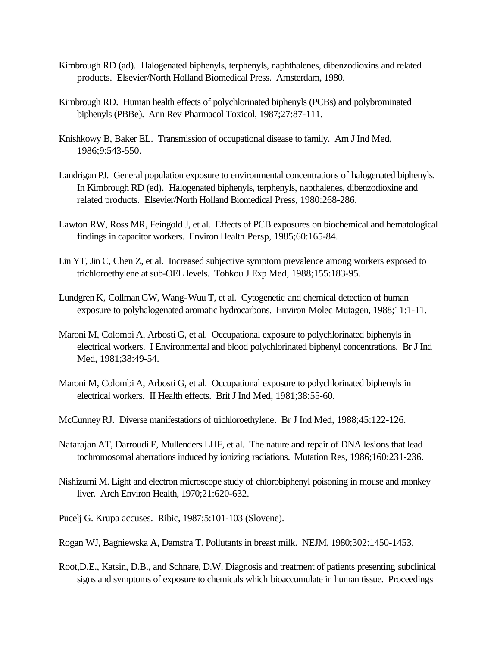- Kimbrough RD (ad). Halogenated biphenyls, terphenyls, naphthalenes, dibenzodioxins and related products. Elsevier/North Holland Biomedical Press. Amsterdam, 1980.
- Kimbrough RD. Human health effects of polychlorinated biphenyls (PCBs) and polybrominated biphenyls (PBBe). Ann Rev Pharmacol Toxicol, 1987;27:87-111.
- Knishkowy B, Baker EL. Transmission of occupational disease to family. Am J Ind Med, 1986;9:543-550.
- Landrigan PJ. General population exposure to environmental concentrations of halogenated biphenyls. In Kimbrough RD (ed). Halogenated biphenyls, terphenyls, napthalenes, dibenzodioxine and related products. Elsevier/North Holland Biomedical Press, 1980:268-286.
- Lawton RW, Ross MR, Feingold J, et al. Effects of PCB exposures on biochemical and hematological findings in capacitor workers. Environ Health Persp, 1985;60:165-84.
- Lin YT, Jin C, Chen Z, et al. Increased subjective symptom prevalence among workers exposed to trichloroethylene at sub-OEL levels. Tohkou J Exp Med, 1988;155:183-95.
- Lundgren K, Collman GW, Wang-Wuu T, et al. Cytogenetic and chemical detection of human exposure to polyhalogenated aromatic hydrocarbons. Environ Molec Mutagen, 1988;11:1-11.
- Maroni M, Colombi A, Arbosti G, et al. Occupational exposure to polychlorinated biphenyls in electrical workers. I Environmental and blood polychlorinated biphenyl concentrations. Br J Ind Med, 1981;38:49-54.
- Maroni M, Colombi A, Arbosti G, et al. Occupational exposure to polychlorinated biphenyls in electrical workers. II Health effects. Brit J Ind Med, 1981;38:55-60.
- McCunney RJ. Diverse manifestations of trichloroethylene. Br J Ind Med, 1988;45:122-126.
- Natarajan AT, Darroudi F, Mullenders LHF, et al. The nature and repair of DNA lesions that lead tochromosomal aberrations induced by ionizing radiations. Mutation Res, 1986;160:231-236.
- Nishizumi M. Light and electron microscope study of chlorobiphenyl poisoning in mouse and monkey liver. Arch Environ Health, 1970;21:620-632.
- Pucelj G. Krupa accuses. Ribic, 1987;5:101-103 (Slovene).
- Rogan WJ, Bagniewska A, Damstra T. Pollutants in breast milk. NEJM, 1980;302:1450-1453.
- Root,D.E., Katsin, D.B., and Schnare, D.W. Diagnosis and treatment of patients presenting subclinical signs and symptoms of exposure to chemicals which bioaccumulate in human tissue. Proceedings